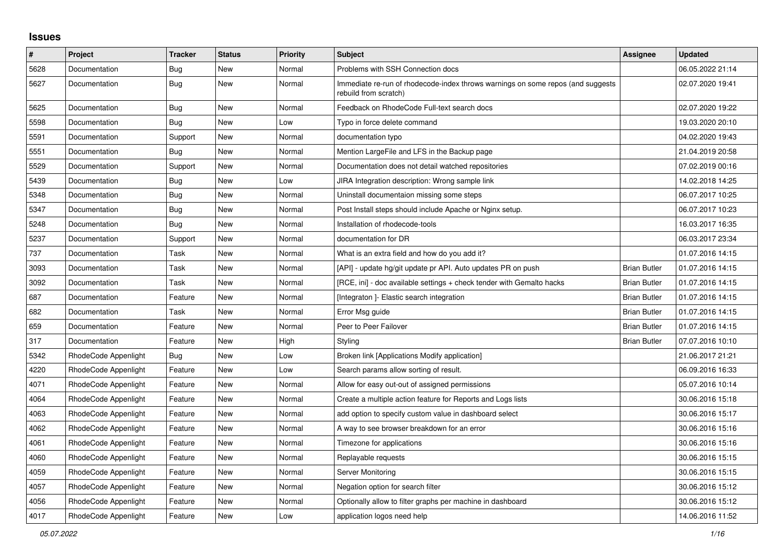## **Issues**

| $\sharp$ | Project              | <b>Tracker</b> | <b>Status</b> | <b>Priority</b> | <b>Subject</b>                                                                                           | Assignee            | <b>Updated</b>   |
|----------|----------------------|----------------|---------------|-----------------|----------------------------------------------------------------------------------------------------------|---------------------|------------------|
| 5628     | Documentation        | Bug            | <b>New</b>    | Normal          | Problems with SSH Connection docs                                                                        |                     | 06.05.2022 21:14 |
| 5627     | Documentation        | Bug            | <b>New</b>    | Normal          | Immediate re-run of rhodecode-index throws warnings on some repos (and suggests<br>rebuild from scratch) |                     | 02.07.2020 19:41 |
| 5625     | Documentation        | <b>Bug</b>     | New           | Normal          | Feedback on RhodeCode Full-text search docs                                                              |                     | 02.07.2020 19:22 |
| 5598     | Documentation        | Bug            | New           | Low             | Typo in force delete command                                                                             |                     | 19.03.2020 20:10 |
| 5591     | Documentation        | Support        | New           | Normal          | documentation typo                                                                                       |                     | 04.02.2020 19:43 |
| 5551     | Documentation        | Bug            | <b>New</b>    | Normal          | Mention LargeFile and LFS in the Backup page                                                             |                     | 21.04.2019 20:58 |
| 5529     | Documentation        | Support        | <b>New</b>    | Normal          | Documentation does not detail watched repositories                                                       |                     | 07.02.2019 00:16 |
| 5439     | Documentation        | <b>Bug</b>     | New           | Low             | JIRA Integration description: Wrong sample link                                                          |                     | 14.02.2018 14:25 |
| 5348     | Documentation        | Bug            | <b>New</b>    | Normal          | Uninstall documentaion missing some steps                                                                |                     | 06.07.2017 10:25 |
| 5347     | Documentation        | <b>Bug</b>     | New           | Normal          | Post Install steps should include Apache or Nginx setup.                                                 |                     | 06.07.2017 10:23 |
| 5248     | Documentation        | Bug            | New           | Normal          | Installation of rhodecode-tools                                                                          |                     | 16.03.2017 16:35 |
| 5237     | Documentation        | Support        | New           | Normal          | documentation for DR                                                                                     |                     | 06.03.2017 23:34 |
| 737      | Documentation        | Task           | New           | Normal          | What is an extra field and how do you add it?                                                            |                     | 01.07.2016 14:15 |
| 3093     | Documentation        | Task           | New           | Normal          | [API] - update hg/git update pr API. Auto updates PR on push                                             | <b>Brian Butler</b> | 01.07.2016 14:15 |
| 3092     | Documentation        | Task           | New           | Normal          | [RCE, ini] - doc available settings + check tender with Gemalto hacks                                    | <b>Brian Butler</b> | 01.07.2016 14:15 |
| 687      | Documentation        | Feature        | New           | Normal          | [Integraton] - Elastic search integration                                                                | <b>Brian Butler</b> | 01.07.2016 14:15 |
| 682      | Documentation        | Task           | New           | Normal          | Error Msg guide                                                                                          | <b>Brian Butler</b> | 01.07.2016 14:15 |
| 659      | Documentation        | Feature        | New           | Normal          | Peer to Peer Failover                                                                                    | <b>Brian Butler</b> | 01.07.2016 14:15 |
| 317      | Documentation        | Feature        | New           | High            | Styling                                                                                                  | <b>Brian Butler</b> | 07.07.2016 10:10 |
| 5342     | RhodeCode Appenlight | Bug            | New           | Low             | Broken link [Applications Modify application]                                                            |                     | 21.06.2017 21:21 |
| 4220     | RhodeCode Appenlight | Feature        | New           | Low             | Search params allow sorting of result.                                                                   |                     | 06.09.2016 16:33 |
| 4071     | RhodeCode Appenlight | Feature        | New           | Normal          | Allow for easy out-out of assigned permissions                                                           |                     | 05.07.2016 10:14 |
| 4064     | RhodeCode Appenlight | Feature        | New           | Normal          | Create a multiple action feature for Reports and Logs lists                                              |                     | 30.06.2016 15:18 |
| 4063     | RhodeCode Appenlight | Feature        | New           | Normal          | add option to specify custom value in dashboard select                                                   |                     | 30.06.2016 15:17 |
| 4062     | RhodeCode Appenlight | Feature        | New           | Normal          | A way to see browser breakdown for an error                                                              |                     | 30.06.2016 15:16 |
| 4061     | RhodeCode Appenlight | Feature        | New           | Normal          | Timezone for applications                                                                                |                     | 30.06.2016 15:16 |
| 4060     | RhodeCode Appenlight | Feature        | New           | Normal          | Replayable requests                                                                                      |                     | 30.06.2016 15:15 |
| 4059     | RhodeCode Appenlight | Feature        | <b>New</b>    | Normal          | Server Monitoring                                                                                        |                     | 30.06.2016 15:15 |
| 4057     | RhodeCode Appenlight | Feature        | New           | Normal          | Negation option for search filter                                                                        |                     | 30.06.2016 15:12 |
| 4056     | RhodeCode Appenlight | Feature        | New           | Normal          | Optionally allow to filter graphs per machine in dashboard                                               |                     | 30.06.2016 15:12 |
| 4017     | RhodeCode Appenlight | Feature        | New           | Low             | application logos need help                                                                              |                     | 14.06.2016 11:52 |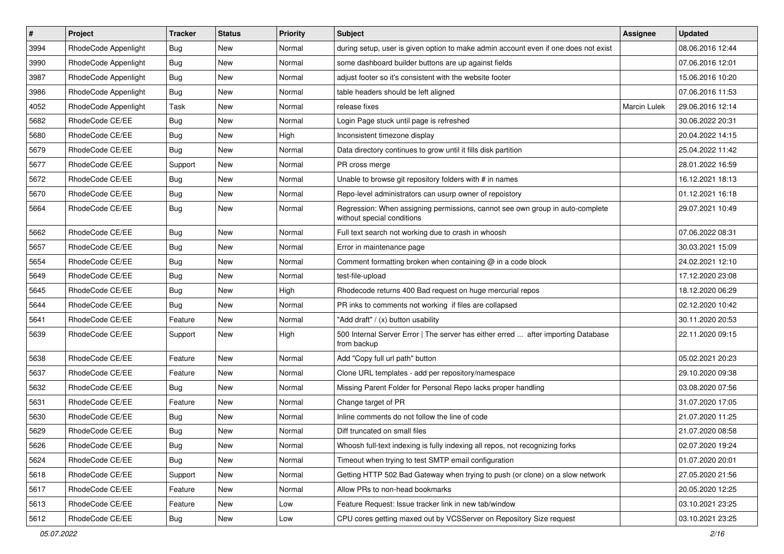| $\#$ | Project              | <b>Tracker</b> | <b>Status</b> | <b>Priority</b> | Subject                                                                                                     | <b>Assignee</b>     | <b>Updated</b>   |
|------|----------------------|----------------|---------------|-----------------|-------------------------------------------------------------------------------------------------------------|---------------------|------------------|
| 3994 | RhodeCode Appenlight | <b>Bug</b>     | New           | Normal          | during setup, user is given option to make admin account even if one does not exist                         |                     | 08.06.2016 12:44 |
| 3990 | RhodeCode Appenlight | Bug            | New           | Normal          | some dashboard builder buttons are up against fields                                                        |                     | 07.06.2016 12:01 |
| 3987 | RhodeCode Appenlight | Bug            | New           | Normal          | adjust footer so it's consistent with the website footer                                                    |                     | 15.06.2016 10:20 |
| 3986 | RhodeCode Appenlight | <b>Bug</b>     | New           | Normal          | table headers should be left aligned                                                                        |                     | 07.06.2016 11:53 |
| 4052 | RhodeCode Appenlight | Task           | New           | Normal          | release fixes                                                                                               | <b>Marcin Lulek</b> | 29.06.2016 12:14 |
| 5682 | RhodeCode CE/EE      | Bug            | New           | Normal          | Login Page stuck until page is refreshed                                                                    |                     | 30.06.2022 20:31 |
| 5680 | RhodeCode CE/EE      | Bug            | New           | High            | Inconsistent timezone display                                                                               |                     | 20.04.2022 14:15 |
| 5679 | RhodeCode CE/EE      | <b>Bug</b>     | New           | Normal          | Data directory continues to grow until it fills disk partition                                              |                     | 25.04.2022 11:42 |
| 5677 | RhodeCode CE/EE      | Support        | New           | Normal          | PR cross merge                                                                                              |                     | 28.01.2022 16:59 |
| 5672 | RhodeCode CE/EE      | Bug            | New           | Normal          | Unable to browse git repository folders with # in names                                                     |                     | 16.12.2021 18:13 |
| 5670 | RhodeCode CE/EE      | <b>Bug</b>     | New           | Normal          | Repo-level administrators can usurp owner of repoistory                                                     |                     | 01.12.2021 16:18 |
| 5664 | RhodeCode CE/EE      | <b>Bug</b>     | New           | Normal          | Regression: When assigning permissions, cannot see own group in auto-complete<br>without special conditions |                     | 29.07.2021 10:49 |
| 5662 | RhodeCode CE/EE      | <b>Bug</b>     | New           | Normal          | Full text search not working due to crash in whoosh                                                         |                     | 07.06.2022 08:31 |
| 5657 | RhodeCode CE/EE      | Bug            | New           | Normal          | Error in maintenance page                                                                                   |                     | 30.03.2021 15:09 |
| 5654 | RhodeCode CE/EE      | <b>Bug</b>     | New           | Normal          | Comment formatting broken when containing @ in a code block                                                 |                     | 24.02.2021 12:10 |
| 5649 | RhodeCode CE/EE      | <b>Bug</b>     | New           | Normal          | test-file-upload                                                                                            |                     | 17.12.2020 23:08 |
| 5645 | RhodeCode CE/EE      | Bug            | New           | High            | Rhodecode returns 400 Bad request on huge mercurial repos                                                   |                     | 18.12.2020 06:29 |
| 5644 | RhodeCode CE/EE      | <b>Bug</b>     | New           | Normal          | PR inks to comments not working if files are collapsed                                                      |                     | 02.12.2020 10:42 |
| 5641 | RhodeCode CE/EE      | Feature        | New           | Normal          | "Add draft" / (x) button usability                                                                          |                     | 30.11.2020 20:53 |
| 5639 | RhodeCode CE/EE      | Support        | New           | High            | 500 Internal Server Error   The server has either erred  after importing Database<br>from backup            |                     | 22.11.2020 09:15 |
| 5638 | RhodeCode CE/EE      | Feature        | <b>New</b>    | Normal          | Add "Copy full url path" button                                                                             |                     | 05.02.2021 20:23 |
| 5637 | RhodeCode CE/EE      | Feature        | New           | Normal          | Clone URL templates - add per repository/namespace                                                          |                     | 29.10.2020 09:38 |
| 5632 | RhodeCode CE/EE      | <b>Bug</b>     | New           | Normal          | Missing Parent Folder for Personal Repo lacks proper handling                                               |                     | 03.08.2020 07:56 |
| 5631 | RhodeCode CE/EE      | Feature        | New           | Normal          | Change target of PR                                                                                         |                     | 31.07.2020 17:05 |
| 5630 | RhodeCode CE/EE      | <b>Bug</b>     | New           | Normal          | Inline comments do not follow the line of code                                                              |                     | 21.07.2020 11:25 |
| 5629 | RhodeCode CE/EE      | <b>Bug</b>     | New           | Normal          | Diff truncated on small files                                                                               |                     | 21.07.2020 08:58 |
| 5626 | RhodeCode CE/EE      | <b>Bug</b>     | New           | Normal          | Whoosh full-text indexing is fully indexing all repos, not recognizing forks                                |                     | 02.07.2020 19:24 |
| 5624 | RhodeCode CE/EE      | Bug            | New           | Normal          | Timeout when trying to test SMTP email configuration                                                        |                     | 01.07.2020 20:01 |
| 5618 | RhodeCode CE/EE      | Support        | New           | Normal          | Getting HTTP 502 Bad Gateway when trying to push (or clone) on a slow network                               |                     | 27.05.2020 21:56 |
| 5617 | RhodeCode CE/EE      | Feature        | New           | Normal          | Allow PRs to non-head bookmarks                                                                             |                     | 20.05.2020 12:25 |
| 5613 | RhodeCode CE/EE      | Feature        | New           | Low             | Feature Request: Issue tracker link in new tab/window                                                       |                     | 03.10.2021 23:25 |
| 5612 | RhodeCode CE/EE      | <b>Bug</b>     | New           | Low             | CPU cores getting maxed out by VCSServer on Repository Size request                                         |                     | 03.10.2021 23:25 |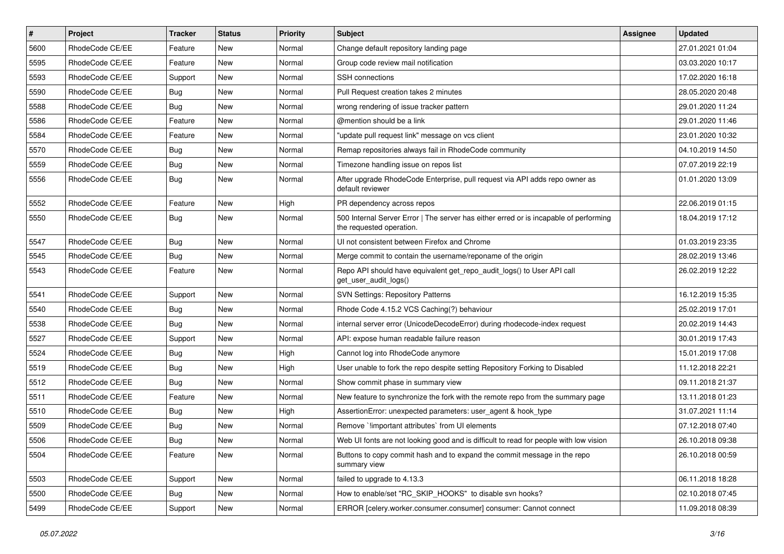| $\#$ | Project         | Tracker    | <b>Status</b> | <b>Priority</b> | <b>Subject</b>                                                                                                    | Assignee | <b>Updated</b>   |
|------|-----------------|------------|---------------|-----------------|-------------------------------------------------------------------------------------------------------------------|----------|------------------|
| 5600 | RhodeCode CE/EE | Feature    | New           | Normal          | Change default repository landing page                                                                            |          | 27.01.2021 01:04 |
| 5595 | RhodeCode CE/EE | Feature    | <b>New</b>    | Normal          | Group code review mail notification                                                                               |          | 03.03.2020 10:17 |
| 5593 | RhodeCode CE/EE | Support    | New           | Normal          | <b>SSH</b> connections                                                                                            |          | 17.02.2020 16:18 |
| 5590 | RhodeCode CE/EE | Bug        | New           | Normal          | Pull Request creation takes 2 minutes                                                                             |          | 28.05.2020 20:48 |
| 5588 | RhodeCode CE/EE | <b>Bug</b> | <b>New</b>    | Normal          | wrong rendering of issue tracker pattern                                                                          |          | 29.01.2020 11:24 |
| 5586 | RhodeCode CE/EE | Feature    | New           | Normal          | @mention should be a link                                                                                         |          | 29.01.2020 11:46 |
| 5584 | RhodeCode CE/EE | Feature    | New           | Normal          | "update pull request link" message on vcs client                                                                  |          | 23.01.2020 10:32 |
| 5570 | RhodeCode CE/EE | Bug        | New           | Normal          | Remap repositories always fail in RhodeCode community                                                             |          | 04.10.2019 14:50 |
| 5559 | RhodeCode CE/EE | <b>Bug</b> | New           | Normal          | Timezone handling issue on repos list                                                                             |          | 07.07.2019 22:19 |
| 5556 | RhodeCode CE/EE | Bug        | New           | Normal          | After upgrade RhodeCode Enterprise, pull request via API adds repo owner as<br>default reviewer                   |          | 01.01.2020 13:09 |
| 5552 | RhodeCode CE/EE | Feature    | New           | High            | PR dependency across repos                                                                                        |          | 22.06.2019 01:15 |
| 5550 | RhodeCode CE/EE | <b>Bug</b> | New           | Normal          | 500 Internal Server Error   The server has either erred or is incapable of performing<br>the requested operation. |          | 18.04.2019 17:12 |
| 5547 | RhodeCode CE/EE | <b>Bug</b> | <b>New</b>    | Normal          | UI not consistent between Firefox and Chrome                                                                      |          | 01.03.2019 23:35 |
| 5545 | RhodeCode CE/EE | <b>Bug</b> | New           | Normal          | Merge commit to contain the username/reponame of the origin                                                       |          | 28.02.2019 13:46 |
| 5543 | RhodeCode CE/EE | Feature    | New           | Normal          | Repo API should have equivalent get_repo_audit_logs() to User API call<br>get_user_audit_logs()                   |          | 26.02.2019 12:22 |
| 5541 | RhodeCode CE/EE | Support    | New           | Normal          | <b>SVN Settings: Repository Patterns</b>                                                                          |          | 16.12.2019 15:35 |
| 5540 | RhodeCode CE/EE | <b>Bug</b> | New           | Normal          | Rhode Code 4.15.2 VCS Caching(?) behaviour                                                                        |          | 25.02.2019 17:01 |
| 5538 | RhodeCode CE/EE | <b>Bug</b> | New           | Normal          | internal server error (UnicodeDecodeError) during rhodecode-index request                                         |          | 20.02.2019 14:43 |
| 5527 | RhodeCode CE/EE | Support    | New           | Normal          | API: expose human readable failure reason                                                                         |          | 30.01.2019 17:43 |
| 5524 | RhodeCode CE/EE | <b>Bug</b> | New           | High            | Cannot log into RhodeCode anymore                                                                                 |          | 15.01.2019 17:08 |
| 5519 | RhodeCode CE/EE | Bug        | New           | High            | User unable to fork the repo despite setting Repository Forking to Disabled                                       |          | 11.12.2018 22:21 |
| 5512 | RhodeCode CE/EE | <b>Bug</b> | New           | Normal          | Show commit phase in summary view                                                                                 |          | 09.11.2018 21:37 |
| 5511 | RhodeCode CE/EE | Feature    | <b>New</b>    | Normal          | New feature to synchronize the fork with the remote repo from the summary page                                    |          | 13.11.2018 01:23 |
| 5510 | RhodeCode CE/EE | <b>Bug</b> | New           | High            | AssertionError: unexpected parameters: user agent & hook type                                                     |          | 31.07.2021 11:14 |
| 5509 | RhodeCode CE/EE | <b>Bug</b> | New           | Normal          | Remove `limportant attributes` from UI elements                                                                   |          | 07.12.2018 07:40 |
| 5506 | RhodeCode CE/EE | Bug        | New           | Normal          | Web UI fonts are not looking good and is difficult to read for people with low vision                             |          | 26.10.2018 09:38 |
| 5504 | RhodeCode CE/EE | Feature    | New           | Normal          | Buttons to copy commit hash and to expand the commit message in the repo<br>summary view                          |          | 26.10.2018 00:59 |
| 5503 | RhodeCode CE/EE | Support    | New           | Normal          | failed to upgrade to 4.13.3                                                                                       |          | 06.11.2018 18:28 |
| 5500 | RhodeCode CE/EE | <b>Bug</b> | New           | Normal          | How to enable/set "RC_SKIP_HOOKS" to disable svn hooks?                                                           |          | 02.10.2018 07:45 |
| 5499 | RhodeCode CE/EE | Support    | New           | Normal          | ERROR [celery.worker.consumer.consumer] consumer: Cannot connect                                                  |          | 11.09.2018 08:39 |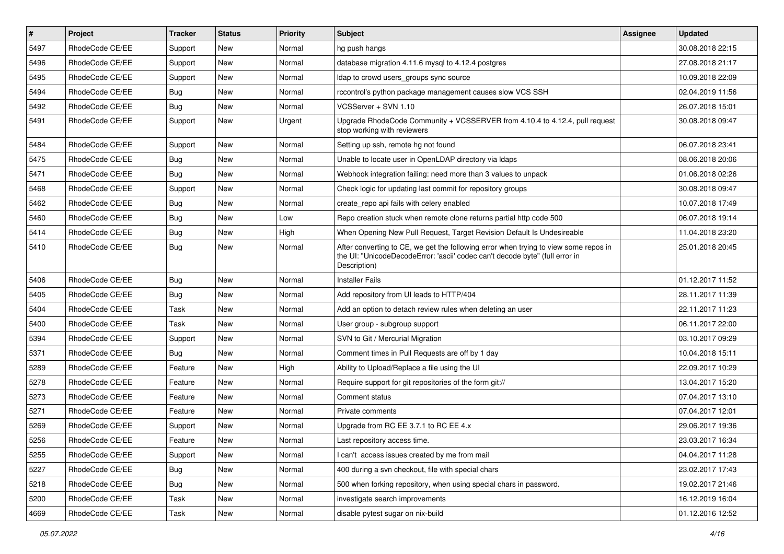| $\pmb{\#}$ | <b>Project</b>  | <b>Tracker</b> | <b>Status</b> | <b>Priority</b> | <b>Subject</b>                                                                                                                                                                       | Assignee | <b>Updated</b>   |
|------------|-----------------|----------------|---------------|-----------------|--------------------------------------------------------------------------------------------------------------------------------------------------------------------------------------|----------|------------------|
| 5497       | RhodeCode CE/EE | Support        | New           | Normal          | hg push hangs                                                                                                                                                                        |          | 30.08.2018 22:15 |
| 5496       | RhodeCode CE/EE | Support        | <b>New</b>    | Normal          | database migration 4.11.6 mysql to 4.12.4 postgres                                                                                                                                   |          | 27.08.2018 21:17 |
| 5495       | RhodeCode CE/EE | Support        | New           | Normal          | ldap to crowd users groups sync source                                                                                                                                               |          | 10.09.2018 22:09 |
| 5494       | RhodeCode CE/EE | Bug            | New           | Normal          | rccontrol's python package management causes slow VCS SSH                                                                                                                            |          | 02.04.2019 11:56 |
| 5492       | RhodeCode CE/EE | Bug            | <b>New</b>    | Normal          | VCSServer + SVN 1.10                                                                                                                                                                 |          | 26.07.2018 15:01 |
| 5491       | RhodeCode CE/EE | Support        | New           | Urgent          | Upgrade RhodeCode Community + VCSSERVER from 4.10.4 to 4.12.4, pull request<br>stop working with reviewers                                                                           |          | 30.08.2018 09:47 |
| 5484       | RhodeCode CE/EE | Support        | New           | Normal          | Setting up ssh, remote hg not found                                                                                                                                                  |          | 06.07.2018 23:41 |
| 5475       | RhodeCode CE/EE | <b>Bug</b>     | New           | Normal          | Unable to locate user in OpenLDAP directory via Idaps                                                                                                                                |          | 08.06.2018 20:06 |
| 5471       | RhodeCode CE/EE | Bug            | <b>New</b>    | Normal          | Webhook integration failing: need more than 3 values to unpack                                                                                                                       |          | 01.06.2018 02:26 |
| 5468       | RhodeCode CE/EE | Support        | <b>New</b>    | Normal          | Check logic for updating last commit for repository groups                                                                                                                           |          | 30.08.2018 09:47 |
| 5462       | RhodeCode CE/EE | Bug            | New           | Normal          | create repo api fails with celery enabled                                                                                                                                            |          | 10.07.2018 17:49 |
| 5460       | RhodeCode CE/EE | Bug            | New           | Low             | Repo creation stuck when remote clone returns partial http code 500                                                                                                                  |          | 06.07.2018 19:14 |
| 5414       | RhodeCode CE/EE | Bug            | New           | High            | When Opening New Pull Request, Target Revision Default Is Undesireable                                                                                                               |          | 11.04.2018 23:20 |
| 5410       | RhodeCode CE/EE | Bug            | New           | Normal          | After converting to CE, we get the following error when trying to view some repos in<br>the UI: "UnicodeDecodeError: 'ascii' codec can't decode byte" (full error in<br>Description) |          | 25.01.2018 20:45 |
| 5406       | RhodeCode CE/EE | Bug            | <b>New</b>    | Normal          | <b>Installer Fails</b>                                                                                                                                                               |          | 01.12.2017 11:52 |
| 5405       | RhodeCode CE/EE | Bug            | <b>New</b>    | Normal          | Add repository from UI leads to HTTP/404                                                                                                                                             |          | 28.11.2017 11:39 |
| 5404       | RhodeCode CE/EE | Task           | New           | Normal          | Add an option to detach review rules when deleting an user                                                                                                                           |          | 22.11.2017 11:23 |
| 5400       | RhodeCode CE/EE | Task           | New           | Normal          | User group - subgroup support                                                                                                                                                        |          | 06.11.2017 22:00 |
| 5394       | RhodeCode CE/EE | Support        | New           | Normal          | SVN to Git / Mercurial Migration                                                                                                                                                     |          | 03.10.2017 09:29 |
| 5371       | RhodeCode CE/EE | Bug            | <b>New</b>    | Normal          | Comment times in Pull Requests are off by 1 day                                                                                                                                      |          | 10.04.2018 15:11 |
| 5289       | RhodeCode CE/EE | Feature        | New           | High            | Ability to Upload/Replace a file using the UI                                                                                                                                        |          | 22.09.2017 10:29 |
| 5278       | RhodeCode CE/EE | Feature        | New           | Normal          | Require support for git repositories of the form git://                                                                                                                              |          | 13.04.2017 15:20 |
| 5273       | RhodeCode CE/EE | Feature        | <b>New</b>    | Normal          | Comment status                                                                                                                                                                       |          | 07.04.2017 13:10 |
| 5271       | RhodeCode CE/EE | Feature        | New           | Normal          | Private comments                                                                                                                                                                     |          | 07.04.2017 12:01 |
| 5269       | RhodeCode CE/EE | Support        | New           | Normal          | Upgrade from RC EE 3.7.1 to RC EE 4.x                                                                                                                                                |          | 29.06.2017 19:36 |
| 5256       | RhodeCode CE/EE | Feature        | New           | Normal          | Last repository access time.                                                                                                                                                         |          | 23.03.2017 16:34 |
| 5255       | RhodeCode CE/EE | Support        | New           | Normal          | I can't access issues created by me from mail                                                                                                                                        |          | 04.04.2017 11:28 |
| 5227       | RhodeCode CE/EE | Bug            | New           | Normal          | 400 during a svn checkout, file with special chars                                                                                                                                   |          | 23.02.2017 17:43 |
| 5218       | RhodeCode CE/EE | <b>Bug</b>     | New           | Normal          | 500 when forking repository, when using special chars in password.                                                                                                                   |          | 19.02.2017 21:46 |
| 5200       | RhodeCode CE/EE | Task           | New           | Normal          | investigate search improvements                                                                                                                                                      |          | 16.12.2019 16:04 |
| 4669       | RhodeCode CE/EE | Task           | New           | Normal          | disable pytest sugar on nix-build                                                                                                                                                    |          | 01.12.2016 12:52 |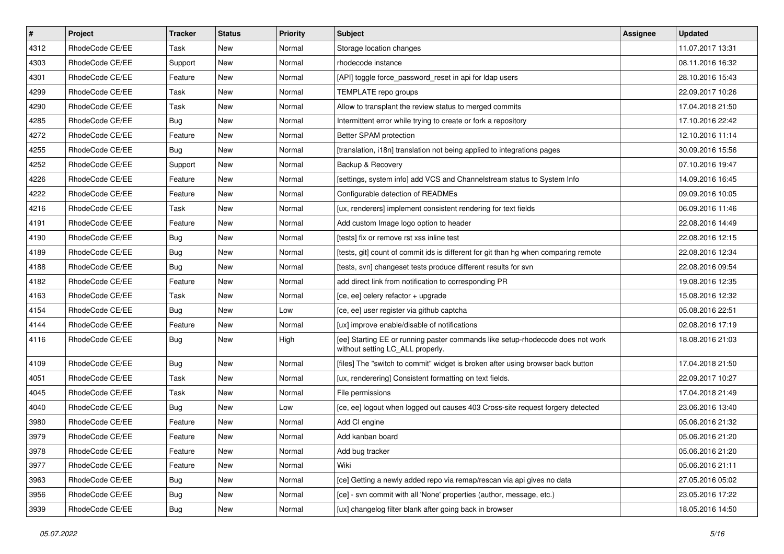| $\pmb{\#}$ | Project         | <b>Tracker</b> | <b>Status</b> | Priority | <b>Subject</b>                                                                                                     | <b>Assignee</b> | <b>Updated</b>   |
|------------|-----------------|----------------|---------------|----------|--------------------------------------------------------------------------------------------------------------------|-----------------|------------------|
| 4312       | RhodeCode CE/EE | Task           | New           | Normal   | Storage location changes                                                                                           |                 | 11.07.2017 13:31 |
| 4303       | RhodeCode CE/EE | Support        | New           | Normal   | rhodecode instance                                                                                                 |                 | 08.11.2016 16:32 |
| 4301       | RhodeCode CE/EE | Feature        | New           | Normal   | [API] toggle force password reset in api for Idap users                                                            |                 | 28.10.2016 15:43 |
| 4299       | RhodeCode CE/EE | Task           | New           | Normal   | TEMPLATE repo groups                                                                                               |                 | 22.09.2017 10:26 |
| 4290       | RhodeCode CE/EE | Task           | <b>New</b>    | Normal   | Allow to transplant the review status to merged commits                                                            |                 | 17.04.2018 21:50 |
| 4285       | RhodeCode CE/EE | <b>Bug</b>     | New           | Normal   | Intermittent error while trying to create or fork a repository                                                     |                 | 17.10.2016 22:42 |
| 4272       | RhodeCode CE/EE | Feature        | New           | Normal   | Better SPAM protection                                                                                             |                 | 12.10.2016 11:14 |
| 4255       | RhodeCode CE/EE | <b>Bug</b>     | New           | Normal   | [translation, i18n] translation not being applied to integrations pages                                            |                 | 30.09.2016 15:56 |
| 4252       | RhodeCode CE/EE | Support        | <b>New</b>    | Normal   | Backup & Recovery                                                                                                  |                 | 07.10.2016 19:47 |
| 4226       | RhodeCode CE/EE | Feature        | <b>New</b>    | Normal   | [settings, system info] add VCS and Channelstream status to System Info                                            |                 | 14.09.2016 16:45 |
| 4222       | RhodeCode CE/EE | Feature        | New           | Normal   | Configurable detection of READMEs                                                                                  |                 | 09.09.2016 10:05 |
| 4216       | RhodeCode CE/EE | Task           | New           | Normal   | [ux, renderers] implement consistent rendering for text fields                                                     |                 | 06.09.2016 11:46 |
| 4191       | RhodeCode CE/EE | Feature        | <b>New</b>    | Normal   | Add custom Image logo option to header                                                                             |                 | 22.08.2016 14:49 |
| 4190       | RhodeCode CE/EE | <b>Bug</b>     | New           | Normal   | [tests] fix or remove rst xss inline test                                                                          |                 | 22.08.2016 12:15 |
| 4189       | RhodeCode CE/EE | <b>Bug</b>     | New           | Normal   | [tests, git] count of commit ids is different for git than hg when comparing remote                                |                 | 22.08.2016 12:34 |
| 4188       | RhodeCode CE/EE | Bug            | New           | Normal   | [tests, svn] changeset tests produce different results for svn                                                     |                 | 22.08.2016 09:54 |
| 4182       | RhodeCode CE/EE | Feature        | New           | Normal   | add direct link from notification to corresponding PR                                                              |                 | 19.08.2016 12:35 |
| 4163       | RhodeCode CE/EE | <b>Task</b>    | <b>New</b>    | Normal   | [ce, ee] celery refactor + upgrade                                                                                 |                 | 15.08.2016 12:32 |
| 4154       | RhodeCode CE/EE | Bug            | New           | Low      | [ce, ee] user register via github captcha                                                                          |                 | 05.08.2016 22:51 |
| 4144       | RhodeCode CE/EE | Feature        | <b>New</b>    | Normal   | [ux] improve enable/disable of notifications                                                                       |                 | 02.08.2016 17:19 |
| 4116       | RhodeCode CE/EE | <b>Bug</b>     | New           | High     | [ee] Starting EE or running paster commands like setup-rhodecode does not work<br>without setting LC_ALL properly. |                 | 18.08.2016 21:03 |
| 4109       | RhodeCode CE/EE | Bug            | <b>New</b>    | Normal   | [files] The "switch to commit" widget is broken after using browser back button                                    |                 | 17.04.2018 21:50 |
| 4051       | RhodeCode CE/EE | Task           | New           | Normal   | [ux, renderering] Consistent formatting on text fields.                                                            |                 | 22.09.2017 10:27 |
| 4045       | RhodeCode CE/EE | Task           | New           | Normal   | File permissions                                                                                                   |                 | 17.04.2018 21:49 |
| 4040       | RhodeCode CE/EE | Bug            | <b>New</b>    | Low      | [ce, ee] logout when logged out causes 403 Cross-site request forgery detected                                     |                 | 23.06.2016 13:40 |
| 3980       | RhodeCode CE/EE | Feature        | New           | Normal   | Add CI engine                                                                                                      |                 | 05.06.2016 21:32 |
| 3979       | RhodeCode CE/EE | Feature        | New           | Normal   | Add kanban board                                                                                                   |                 | 05.06.2016 21:20 |
| 3978       | RhodeCode CE/EE | Feature        | New           | Normal   | Add bug tracker                                                                                                    |                 | 05.06.2016 21:20 |
| 3977       | RhodeCode CE/EE | Feature        | New           | Normal   | Wiki                                                                                                               |                 | 05.06.2016 21:11 |
| 3963       | RhodeCode CE/EE | Bug            | New           | Normal   | [ce] Getting a newly added repo via remap/rescan via api gives no data                                             |                 | 27.05.2016 05:02 |
| 3956       | RhodeCode CE/EE | <b>Bug</b>     | New           | Normal   | [ce] - svn commit with all 'None' properties (author, message, etc.)                                               |                 | 23.05.2016 17:22 |
| 3939       | RhodeCode CE/EE | Bug            | New           | Normal   | [ux] changelog filter blank after going back in browser                                                            |                 | 18.05.2016 14:50 |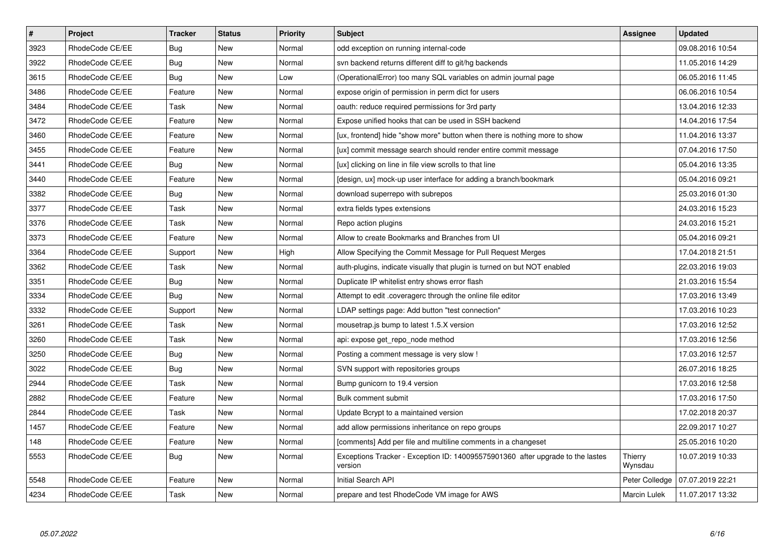| $\pmb{\#}$ | <b>Project</b>  | <b>Tracker</b> | <b>Status</b> | <b>Priority</b> | <b>Subject</b>                                                                            | Assignee            | <b>Updated</b>   |
|------------|-----------------|----------------|---------------|-----------------|-------------------------------------------------------------------------------------------|---------------------|------------------|
| 3923       | RhodeCode CE/EE | Bug            | <b>New</b>    | Normal          | odd exception on running internal-code                                                    |                     | 09.08.2016 10:54 |
| 3922       | RhodeCode CE/EE | Bug            | <b>New</b>    | Normal          | syn backend returns different diff to git/hg backends                                     |                     | 11.05.2016 14:29 |
| 3615       | RhodeCode CE/EE | Bug            | New           | Low             | (OperationalError) too many SQL variables on admin journal page                           |                     | 06.05.2016 11:45 |
| 3486       | RhodeCode CE/EE | Feature        | New           | Normal          | expose origin of permission in perm dict for users                                        |                     | 06.06.2016 10:54 |
| 3484       | RhodeCode CE/EE | Task           | New           | Normal          | oauth: reduce required permissions for 3rd party                                          |                     | 13.04.2016 12:33 |
| 3472       | RhodeCode CE/EE | Feature        | <b>New</b>    | Normal          | Expose unified hooks that can be used in SSH backend                                      |                     | 14.04.2016 17:54 |
| 3460       | RhodeCode CE/EE | Feature        | <b>New</b>    | Normal          | [ux, frontend] hide "show more" button when there is nothing more to show                 |                     | 11.04.2016 13:37 |
| 3455       | RhodeCode CE/EE | Feature        | <b>New</b>    | Normal          | [ux] commit message search should render entire commit message                            |                     | 07.04.2016 17:50 |
| 3441       | RhodeCode CE/EE | <b>Bug</b>     | <b>New</b>    | Normal          | [ux] clicking on line in file view scrolls to that line                                   |                     | 05.04.2016 13:35 |
| 3440       | RhodeCode CE/EE | Feature        | New           | Normal          | [design, ux] mock-up user interface for adding a branch/bookmark                          |                     | 05.04.2016 09:21 |
| 3382       | RhodeCode CE/EE | Bug            | <b>New</b>    | Normal          | download superrepo with subrepos                                                          |                     | 25.03.2016 01:30 |
| 3377       | RhodeCode CE/EE | Task           | <b>New</b>    | Normal          | extra fields types extensions                                                             |                     | 24.03.2016 15:23 |
| 3376       | RhodeCode CE/EE | Task           | <b>New</b>    | Normal          | Repo action plugins                                                                       |                     | 24.03.2016 15:21 |
| 3373       | RhodeCode CE/EE | Feature        | New           | Normal          | Allow to create Bookmarks and Branches from UI                                            |                     | 05.04.2016 09:21 |
| 3364       | RhodeCode CE/EE | Support        | New           | High            | Allow Specifying the Commit Message for Pull Request Merges                               |                     | 17.04.2018 21:51 |
| 3362       | RhodeCode CE/EE | Task           | <b>New</b>    | Normal          | auth-plugins, indicate visually that plugin is turned on but NOT enabled                  |                     | 22.03.2016 19:03 |
| 3351       | RhodeCode CE/EE | Bug            | New           | Normal          | Duplicate IP whitelist entry shows error flash                                            |                     | 21.03.2016 15:54 |
| 3334       | RhodeCode CE/EE | <b>Bug</b>     | <b>New</b>    | Normal          | Attempt to edit .coveragerc through the online file editor                                |                     | 17.03.2016 13:49 |
| 3332       | RhodeCode CE/EE | Support        | <b>New</b>    | Normal          | LDAP settings page: Add button "test connection"                                          |                     | 17.03.2016 10:23 |
| 3261       | RhodeCode CE/EE | Task           | <b>New</b>    | Normal          | mousetrap.js bump to latest 1.5.X version                                                 |                     | 17.03.2016 12:52 |
| 3260       | RhodeCode CE/EE | Task           | New           | Normal          | api: expose get_repo_node method                                                          |                     | 17.03.2016 12:56 |
| 3250       | RhodeCode CE/EE | Bug            | <b>New</b>    | Normal          | Posting a comment message is very slow !                                                  |                     | 17.03.2016 12:57 |
| 3022       | RhodeCode CE/EE | <b>Bug</b>     | New           | Normal          | SVN support with repositories groups                                                      |                     | 26.07.2016 18:25 |
| 2944       | RhodeCode CE/EE | Task           | New           | Normal          | Bump gunicorn to 19.4 version                                                             |                     | 17.03.2016 12:58 |
| 2882       | RhodeCode CE/EE | Feature        | <b>New</b>    | Normal          | Bulk comment submit                                                                       |                     | 17.03.2016 17:50 |
| 2844       | RhodeCode CE/EE | Task           | <b>New</b>    | Normal          | Update Bcrypt to a maintained version                                                     |                     | 17.02.2018 20:37 |
| 1457       | RhodeCode CE/EE | Feature        | <b>New</b>    | Normal          | add allow permissions inheritance on repo groups                                          |                     | 22.09.2017 10:27 |
| 148        | RhodeCode CE/EE | Feature        | New           | Normal          | [comments] Add per file and multiline comments in a changeset                             |                     | 25.05.2016 10:20 |
| 5553       | RhodeCode CE/EE | <b>Bug</b>     | New           | Normal          | Exceptions Tracker - Exception ID: 140095575901360 after upgrade to the lastes<br>version | Thierry<br>Wynsdau  | 10.07.2019 10:33 |
| 5548       | RhodeCode CE/EE | Feature        | New           | Normal          | Initial Search API                                                                        | Peter Colledge      | 07.07.2019 22:21 |
| 4234       | RhodeCode CE/EE | Task           | <b>New</b>    | Normal          | prepare and test RhodeCode VM image for AWS                                               | <b>Marcin Lulek</b> | 11.07.2017 13:32 |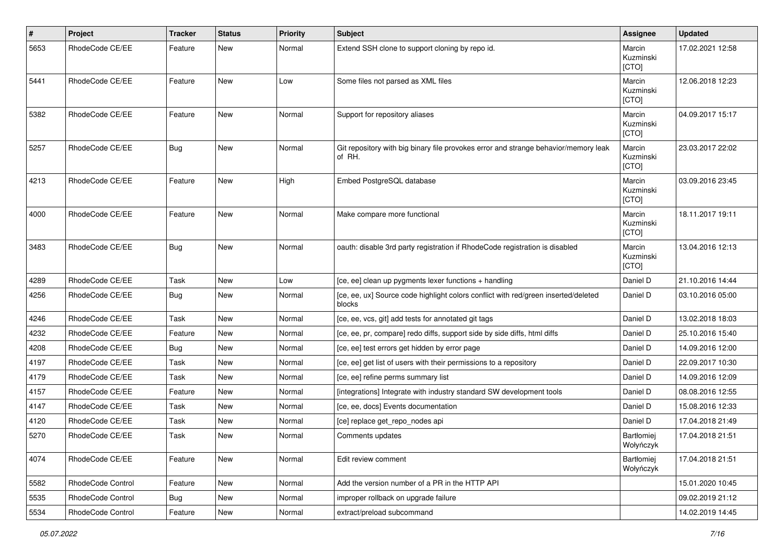| $\sharp$ | Project           | <b>Tracker</b> | <b>Status</b> | <b>Priority</b> | <b>Subject</b>                                                                                | <b>Assignee</b>              | <b>Updated</b>   |
|----------|-------------------|----------------|---------------|-----------------|-----------------------------------------------------------------------------------------------|------------------------------|------------------|
| 5653     | RhodeCode CE/EE   | Feature        | New           | Normal          | Extend SSH clone to support cloning by repo id.                                               | Marcin<br>Kuzminski<br>[CTO] | 17.02.2021 12:58 |
| 5441     | RhodeCode CE/EE   | Feature        | New           | Low             | Some files not parsed as XML files                                                            | Marcin<br>Kuzminski<br>[CTO] | 12.06.2018 12:23 |
| 5382     | RhodeCode CE/EE   | Feature        | <b>New</b>    | Normal          | Support for repository aliases                                                                | Marcin<br>Kuzminski<br>[CTO] | 04.09.2017 15:17 |
| 5257     | RhodeCode CE/EE   | Bug            | New           | Normal          | Git repository with big binary file provokes error and strange behavior/memory leak<br>of RH. | Marcin<br>Kuzminski<br>[CTO] | 23.03.2017 22:02 |
| 4213     | RhodeCode CE/EE   | Feature        | <b>New</b>    | High            | Embed PostgreSQL database                                                                     | Marcin<br>Kuzminski<br>[CTO] | 03.09.2016 23:45 |
| 4000     | RhodeCode CE/EE   | Feature        | <b>New</b>    | Normal          | Make compare more functional                                                                  | Marcin<br>Kuzminski<br>[CTO] | 18.11.2017 19:11 |
| 3483     | RhodeCode CE/EE   | Bug            | <b>New</b>    | Normal          | oauth: disable 3rd party registration if RhodeCode registration is disabled                   | Marcin<br>Kuzminski<br>[CTO] | 13.04.2016 12:13 |
| 4289     | RhodeCode CE/EE   | Task           | <b>New</b>    | Low             | [ce, ee] clean up pygments lexer functions + handling                                         | Daniel D                     | 21.10.2016 14:44 |
| 4256     | RhodeCode CE/EE   | <b>Bug</b>     | New           | Normal          | [ce, ee, ux] Source code highlight colors conflict with red/green inserted/deleted<br>blocks  | Daniel D                     | 03.10.2016 05:00 |
| 4246     | RhodeCode CE/EE   | Task           | <b>New</b>    | Normal          | [ce, ee, vcs, git] add tests for annotated git tags                                           | Daniel D                     | 13.02.2018 18:03 |
| 4232     | RhodeCode CE/EE   | Feature        | New           | Normal          | [ce, ee, pr, compare] redo diffs, support side by side diffs, html diffs                      | Daniel D                     | 25.10.2016 15:40 |
| 4208     | RhodeCode CE/EE   | Bug            | <b>New</b>    | Normal          | [ce, ee] test errors get hidden by error page                                                 | Daniel D                     | 14.09.2016 12:00 |
| 4197     | RhodeCode CE/EE   | Task           | New           | Normal          | [ce, ee] get list of users with their permissions to a repository                             | Daniel D                     | 22.09.2017 10:30 |
| 4179     | RhodeCode CE/EE   | Task           | New           | Normal          | [ce, ee] refine perms summary list                                                            | Daniel D                     | 14.09.2016 12:09 |
| 4157     | RhodeCode CE/EE   | Feature        | <b>New</b>    | Normal          | [integrations] Integrate with industry standard SW development tools                          | Daniel D                     | 08.08.2016 12:55 |
| 4147     | RhodeCode CE/EE   | Task           | New           | Normal          | [ce, ee, docs] Events documentation                                                           | Daniel D                     | 15.08.2016 12:33 |
| 4120     | RhodeCode CE/EE   | Task           | New           | Normal          | [ce] replace get_repo_nodes api                                                               | Daniel D                     | 17.04.2018 21:49 |
| 5270     | RhodeCode CE/EE   | Task           | New           | Normal          | Comments updates                                                                              | Bartłomiej<br>Wołyńczyk      | 17.04.2018 21:51 |
| 4074     | RhodeCode CE/EE   | Feature        | New           | Normal          | Edit review comment                                                                           | Bartłomiej<br>Wołyńczyk      | 17.04.2018 21:51 |
| 5582     | RhodeCode Control | Feature        | New           | Normal          | Add the version number of a PR in the HTTP API                                                |                              | 15.01.2020 10:45 |
| 5535     | RhodeCode Control | Bug            | New           | Normal          | improper rollback on upgrade failure                                                          |                              | 09.02.2019 21:12 |
| 5534     | RhodeCode Control | Feature        | New           | Normal          | extract/preload subcommand                                                                    |                              | 14.02.2019 14:45 |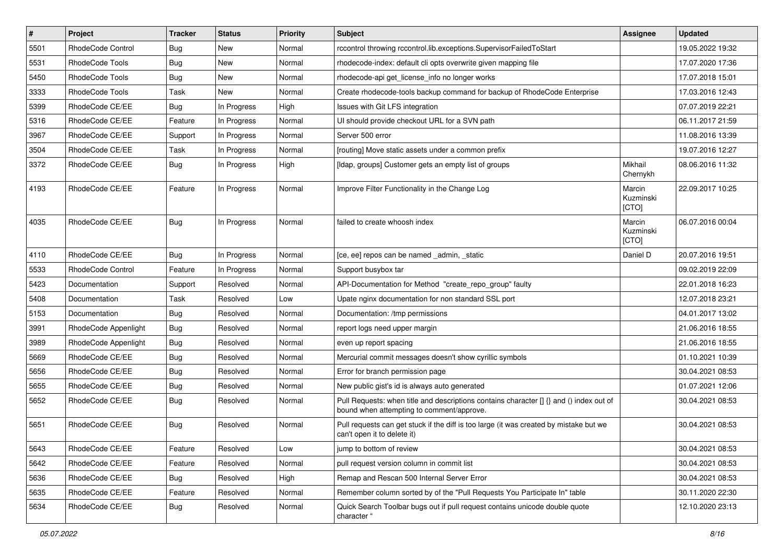| $\sharp$ | Project              | <b>Tracker</b> | <b>Status</b> | Priority | <b>Subject</b>                                                                                                                       | <b>Assignee</b>              | <b>Updated</b>   |
|----------|----------------------|----------------|---------------|----------|--------------------------------------------------------------------------------------------------------------------------------------|------------------------------|------------------|
| 5501     | RhodeCode Control    | Bug            | New           | Normal   | rccontrol throwing rccontrol.lib.exceptions.SupervisorFailedToStart                                                                  |                              | 19.05.2022 19:32 |
| 5531     | RhodeCode Tools      | Bug            | New           | Normal   | rhodecode-index: default cli opts overwrite given mapping file                                                                       |                              | 17.07.2020 17:36 |
| 5450     | RhodeCode Tools      | <b>Bug</b>     | New           | Normal   | rhodecode-api get license info no longer works                                                                                       |                              | 17.07.2018 15:01 |
| 3333     | RhodeCode Tools      | Task           | <b>New</b>    | Normal   | Create rhodecode-tools backup command for backup of RhodeCode Enterprise                                                             |                              | 17.03.2016 12:43 |
| 5399     | RhodeCode CE/EE      | <b>Bug</b>     | In Progress   | High     | Issues with Git LFS integration                                                                                                      |                              | 07.07.2019 22:21 |
| 5316     | RhodeCode CE/EE      | Feature        | In Progress   | Normal   | UI should provide checkout URL for a SVN path                                                                                        |                              | 06.11.2017 21:59 |
| 3967     | RhodeCode CE/EE      | Support        | In Progress   | Normal   | Server 500 error                                                                                                                     |                              | 11.08.2016 13:39 |
| 3504     | RhodeCode CE/EE      | Task           | In Progress   | Normal   | [routing] Move static assets under a common prefix                                                                                   |                              | 19.07.2016 12:27 |
| 3372     | RhodeCode CE/EE      | <b>Bug</b>     | In Progress   | High     | [Idap, groups] Customer gets an empty list of groups                                                                                 | Mikhail<br>Chernykh          | 08.06.2016 11:32 |
| 4193     | RhodeCode CE/EE      | Feature        | In Progress   | Normal   | Improve Filter Functionality in the Change Log                                                                                       | Marcin<br>Kuzminski<br>[CTO] | 22.09.2017 10:25 |
| 4035     | RhodeCode CE/EE      | <b>Bug</b>     | In Progress   | Normal   | failed to create whoosh index                                                                                                        | Marcin<br>Kuzminski<br>[CTO] | 06.07.2016 00:04 |
| 4110     | RhodeCode CE/EE      | <b>Bug</b>     | In Progress   | Normal   | [ce, ee] repos can be named _admin, _static                                                                                          | Daniel D                     | 20.07.2016 19:51 |
| 5533     | RhodeCode Control    | Feature        | In Progress   | Normal   | Support busybox tar                                                                                                                  |                              | 09.02.2019 22:09 |
| 5423     | Documentation        | Support        | Resolved      | Normal   | API-Documentation for Method "create repo group" faulty                                                                              |                              | 22.01.2018 16:23 |
| 5408     | Documentation        | Task           | Resolved      | Low      | Upate nginx documentation for non standard SSL port                                                                                  |                              | 12.07.2018 23:21 |
| 5153     | Documentation        | Bug            | Resolved      | Normal   | Documentation: /tmp permissions                                                                                                      |                              | 04.01.2017 13:02 |
| 3991     | RhodeCode Appenlight | Bug            | Resolved      | Normal   | report logs need upper margin                                                                                                        |                              | 21.06.2016 18:55 |
| 3989     | RhodeCode Appenlight | Bug            | Resolved      | Normal   | even up report spacing                                                                                                               |                              | 21.06.2016 18:55 |
| 5669     | RhodeCode CE/EE      | <b>Bug</b>     | Resolved      | Normal   | Mercurial commit messages doesn't show cyrillic symbols                                                                              |                              | 01.10.2021 10:39 |
| 5656     | RhodeCode CE/EE      | Bug            | Resolved      | Normal   | Error for branch permission page                                                                                                     |                              | 30.04.2021 08:53 |
| 5655     | RhodeCode CE/EE      | Bug            | Resolved      | Normal   | New public gist's id is always auto generated                                                                                        |                              | 01.07.2021 12:06 |
| 5652     | RhodeCode CE/EE      | <b>Bug</b>     | Resolved      | Normal   | Pull Requests: when title and descriptions contains character [] {} and () index out of<br>bound when attempting to comment/approve. |                              | 30.04.2021 08:53 |
| 5651     | RhodeCode CE/EE      | Bug            | Resolved      | Normal   | Pull requests can get stuck if the diff is too large (it was created by mistake but we<br>can't open it to delete it)                |                              | 30.04.2021 08:53 |
| 5643     | RhodeCode CE/EE      | Feature        | Resolved      | Low      | jump to bottom of review                                                                                                             |                              | 30.04.2021 08:53 |
| 5642     | RhodeCode CE/EE      | Feature        | Resolved      | Normal   | pull request version column in commit list                                                                                           |                              | 30.04.2021 08:53 |
| 5636     | RhodeCode CE/EE      | Bug            | Resolved      | High     | Remap and Rescan 500 Internal Server Error                                                                                           |                              | 30.04.2021 08:53 |
| 5635     | RhodeCode CE/EE      | Feature        | Resolved      | Normal   | Remember column sorted by of the "Pull Requests You Participate In" table                                                            |                              | 30.11.2020 22:30 |
| 5634     | RhodeCode CE/EE      | <b>Bug</b>     | Resolved      | Normal   | Quick Search Toolbar bugs out if pull request contains unicode double quote<br>character "                                           |                              | 12.10.2020 23:13 |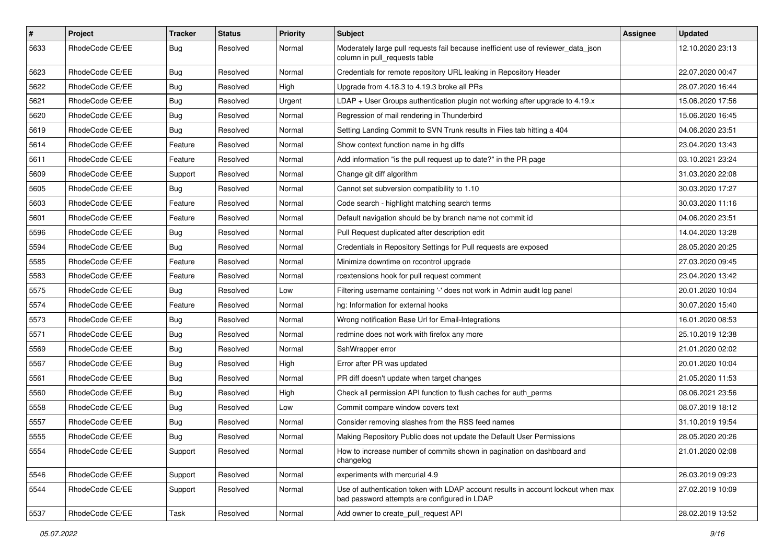| $\pmb{\#}$ | Project         | <b>Tracker</b> | <b>Status</b> | <b>Priority</b> | <b>Subject</b>                                                                                                                    | Assignee | <b>Updated</b>   |
|------------|-----------------|----------------|---------------|-----------------|-----------------------------------------------------------------------------------------------------------------------------------|----------|------------------|
| 5633       | RhodeCode CE/EE | Bug            | Resolved      | Normal          | Moderately large pull requests fail because inefficient use of reviewer_data_json<br>column in pull requests table                |          | 12.10.2020 23:13 |
| 5623       | RhodeCode CE/EE | Bug            | Resolved      | Normal          | Credentials for remote repository URL leaking in Repository Header                                                                |          | 22.07.2020 00:47 |
| 5622       | RhodeCode CE/EE | <b>Bug</b>     | Resolved      | High            | Upgrade from 4.18.3 to 4.19.3 broke all PRs                                                                                       |          | 28.07.2020 16:44 |
| 5621       | RhodeCode CE/EE | Bug            | Resolved      | Urgent          | LDAP + User Groups authentication plugin not working after upgrade to 4.19.x                                                      |          | 15.06.2020 17:56 |
| 5620       | RhodeCode CE/EE | <b>Bug</b>     | Resolved      | Normal          | Regression of mail rendering in Thunderbird                                                                                       |          | 15.06.2020 16:45 |
| 5619       | RhodeCode CE/EE | Bug            | Resolved      | Normal          | Setting Landing Commit to SVN Trunk results in Files tab hitting a 404                                                            |          | 04.06.2020 23:51 |
| 5614       | RhodeCode CE/EE | Feature        | Resolved      | Normal          | Show context function name in hg diffs                                                                                            |          | 23.04.2020 13:43 |
| 5611       | RhodeCode CE/EE | Feature        | Resolved      | Normal          | Add information "is the pull request up to date?" in the PR page                                                                  |          | 03.10.2021 23:24 |
| 5609       | RhodeCode CE/EE | Support        | Resolved      | Normal          | Change git diff algorithm                                                                                                         |          | 31.03.2020 22:08 |
| 5605       | RhodeCode CE/EE | Bug            | Resolved      | Normal          | Cannot set subversion compatibility to 1.10                                                                                       |          | 30.03.2020 17:27 |
| 5603       | RhodeCode CE/EE | Feature        | Resolved      | Normal          | Code search - highlight matching search terms                                                                                     |          | 30.03.2020 11:16 |
| 5601       | RhodeCode CE/EE | Feature        | Resolved      | Normal          | Default navigation should be by branch name not commit id                                                                         |          | 04.06.2020 23:51 |
| 5596       | RhodeCode CE/EE | <b>Bug</b>     | Resolved      | Normal          | Pull Request duplicated after description edit                                                                                    |          | 14.04.2020 13:28 |
| 5594       | RhodeCode CE/EE | <b>Bug</b>     | Resolved      | Normal          | Credentials in Repository Settings for Pull requests are exposed                                                                  |          | 28.05.2020 20:25 |
| 5585       | RhodeCode CE/EE | Feature        | Resolved      | Normal          | Minimize downtime on rccontrol upgrade                                                                                            |          | 27.03.2020 09:45 |
| 5583       | RhodeCode CE/EE | Feature        | Resolved      | Normal          | rcextensions hook for pull request comment                                                                                        |          | 23.04.2020 13:42 |
| 5575       | RhodeCode CE/EE | <b>Bug</b>     | Resolved      | Low             | Filtering username containing '-' does not work in Admin audit log panel                                                          |          | 20.01.2020 10:04 |
| 5574       | RhodeCode CE/EE | Feature        | Resolved      | Normal          | hg: Information for external hooks                                                                                                |          | 30.07.2020 15:40 |
| 5573       | RhodeCode CE/EE | Bug            | Resolved      | Normal          | Wrong notification Base Url for Email-Integrations                                                                                |          | 16.01.2020 08:53 |
| 5571       | RhodeCode CE/EE | Bug            | Resolved      | Normal          | redmine does not work with firefox any more                                                                                       |          | 25.10.2019 12:38 |
| 5569       | RhodeCode CE/EE | <b>Bug</b>     | Resolved      | Normal          | SshWrapper error                                                                                                                  |          | 21.01.2020 02:02 |
| 5567       | RhodeCode CE/EE | Bug            | Resolved      | High            | Error after PR was updated                                                                                                        |          | 20.01.2020 10:04 |
| 5561       | RhodeCode CE/EE | <b>Bug</b>     | Resolved      | Normal          | PR diff doesn't update when target changes                                                                                        |          | 21.05.2020 11:53 |
| 5560       | RhodeCode CE/EE | Bug            | Resolved      | High            | Check all permission API function to flush caches for auth perms                                                                  |          | 08.06.2021 23:56 |
| 5558       | RhodeCode CE/EE | Bug            | Resolved      | Low             | Commit compare window covers text                                                                                                 |          | 08.07.2019 18:12 |
| 5557       | RhodeCode CE/EE | Bug            | Resolved      | Normal          | Consider removing slashes from the RSS feed names                                                                                 |          | 31.10.2019 19:54 |
| 5555       | RhodeCode CE/EE | Bug            | Resolved      | Normal          | Making Repository Public does not update the Default User Permissions                                                             |          | 28.05.2020 20:26 |
| 5554       | RhodeCode CE/EE | Support        | Resolved      | Normal          | How to increase number of commits shown in pagination on dashboard and<br>changelog                                               |          | 21.01.2020 02:08 |
| 5546       | RhodeCode CE/EE | Support        | Resolved      | Normal          | experiments with mercurial 4.9                                                                                                    |          | 26.03.2019 09:23 |
| 5544       | RhodeCode CE/EE | Support        | Resolved      | Normal          | Use of authentication token with LDAP account results in account lockout when max<br>bad password attempts are configured in LDAP |          | 27.02.2019 10:09 |
| 5537       | RhodeCode CE/EE | Task           | Resolved      | Normal          | Add owner to create_pull_request API                                                                                              |          | 28.02.2019 13:52 |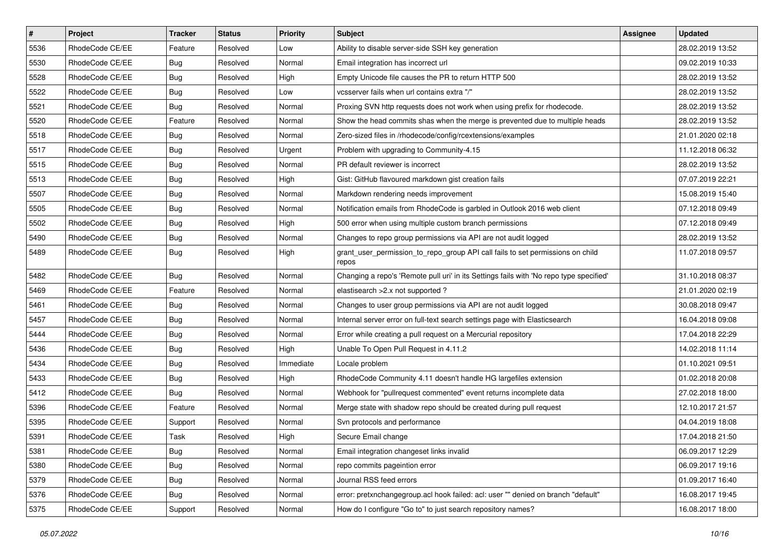| $\vert$ # | Project         | <b>Tracker</b> | <b>Status</b> | <b>Priority</b> | <b>Subject</b>                                                                          | <b>Assignee</b> | <b>Updated</b>   |
|-----------|-----------------|----------------|---------------|-----------------|-----------------------------------------------------------------------------------------|-----------------|------------------|
| 5536      | RhodeCode CE/EE | Feature        | Resolved      | Low             | Ability to disable server-side SSH key generation                                       |                 | 28.02.2019 13:52 |
| 5530      | RhodeCode CE/EE | <b>Bug</b>     | Resolved      | Normal          | Email integration has incorrect url                                                     |                 | 09.02.2019 10:33 |
| 5528      | RhodeCode CE/EE | <b>Bug</b>     | Resolved      | High            | Empty Unicode file causes the PR to return HTTP 500                                     |                 | 28.02.2019 13:52 |
| 5522      | RhodeCode CE/EE | <b>Bug</b>     | Resolved      | Low             | vcsserver fails when url contains extra "/"                                             |                 | 28.02.2019 13:52 |
| 5521      | RhodeCode CE/EE | <b>Bug</b>     | Resolved      | Normal          | Proxing SVN http requests does not work when using prefix for rhodecode.                |                 | 28.02.2019 13:52 |
| 5520      | RhodeCode CE/EE | Feature        | Resolved      | Normal          | Show the head commits shas when the merge is prevented due to multiple heads            |                 | 28.02.2019 13:52 |
| 5518      | RhodeCode CE/EE | Bug            | Resolved      | Normal          | Zero-sized files in /rhodecode/config/rcextensions/examples                             |                 | 21.01.2020 02:18 |
| 5517      | RhodeCode CE/EE | <b>Bug</b>     | Resolved      | Urgent          | Problem with upgrading to Community-4.15                                                |                 | 11.12.2018 06:32 |
| 5515      | RhodeCode CE/EE | <b>Bug</b>     | Resolved      | Normal          | PR default reviewer is incorrect                                                        |                 | 28.02.2019 13:52 |
| 5513      | RhodeCode CE/EE | Bug            | Resolved      | High            | Gist: GitHub flavoured markdown gist creation fails                                     |                 | 07.07.2019 22:21 |
| 5507      | RhodeCode CE/EE | <b>Bug</b>     | Resolved      | Normal          | Markdown rendering needs improvement                                                    |                 | 15.08.2019 15:40 |
| 5505      | RhodeCode CE/EE | <b>Bug</b>     | Resolved      | Normal          | Notification emails from RhodeCode is garbled in Outlook 2016 web client                |                 | 07.12.2018 09:49 |
| 5502      | RhodeCode CE/EE | <b>Bug</b>     | Resolved      | High            | 500 error when using multiple custom branch permissions                                 |                 | 07.12.2018 09:49 |
| 5490      | RhodeCode CE/EE | <b>Bug</b>     | Resolved      | Normal          | Changes to repo group permissions via API are not audit logged                          |                 | 28.02.2019 13:52 |
| 5489      | RhodeCode CE/EE | <b>Bug</b>     | Resolved      | High            | grant_user_permission_to_repo_group API call fails to set permissions on child<br>repos |                 | 11.07.2018 09:57 |
| 5482      | RhodeCode CE/EE | <b>Bug</b>     | Resolved      | Normal          | Changing a repo's 'Remote pull uri' in its Settings fails with 'No repo type specified' |                 | 31.10.2018 08:37 |
| 5469      | RhodeCode CE/EE | Feature        | Resolved      | Normal          | elastisearch > 2.x not supported?                                                       |                 | 21.01.2020 02:19 |
| 5461      | RhodeCode CE/EE | <b>Bug</b>     | Resolved      | Normal          | Changes to user group permissions via API are not audit logged                          |                 | 30.08.2018 09:47 |
| 5457      | RhodeCode CE/EE | <b>Bug</b>     | Resolved      | Normal          | Internal server error on full-text search settings page with Elasticsearch              |                 | 16.04.2018 09:08 |
| 5444      | RhodeCode CE/EE | <b>Bug</b>     | Resolved      | Normal          | Error while creating a pull request on a Mercurial repository                           |                 | 17.04.2018 22:29 |
| 5436      | RhodeCode CE/EE | <b>Bug</b>     | Resolved      | High            | Unable To Open Pull Request in 4.11.2                                                   |                 | 14.02.2018 11:14 |
| 5434      | RhodeCode CE/EE | <b>Bug</b>     | Resolved      | Immediate       | Locale problem                                                                          |                 | 01.10.2021 09:51 |
| 5433      | RhodeCode CE/EE | <b>Bug</b>     | Resolved      | High            | RhodeCode Community 4.11 doesn't handle HG largefiles extension                         |                 | 01.02.2018 20:08 |
| 5412      | RhodeCode CE/EE | <b>Bug</b>     | Resolved      | Normal          | Webhook for "pullrequest commented" event returns incomplete data                       |                 | 27.02.2018 18:00 |
| 5396      | RhodeCode CE/EE | Feature        | Resolved      | Normal          | Merge state with shadow repo should be created during pull request                      |                 | 12.10.2017 21:57 |
| 5395      | RhodeCode CE/EE | Support        | Resolved      | Normal          | Svn protocols and performance                                                           |                 | 04.04.2019 18:08 |
| 5391      | RhodeCode CE/EE | Task           | Resolved      | High            | Secure Email change                                                                     |                 | 17.04.2018 21:50 |
| 5381      | RhodeCode CE/EE | Bug            | Resolved      | Normal          | Email integration changeset links invalid                                               |                 | 06.09.2017 12:29 |
| 5380      | RhodeCode CE/EE | <b>Bug</b>     | Resolved      | Normal          | repo commits pageintion error                                                           |                 | 06.09.2017 19:16 |
| 5379      | RhodeCode CE/EE | <b>Bug</b>     | Resolved      | Normal          | Journal RSS feed errors                                                                 |                 | 01.09.2017 16:40 |
| 5376      | RhodeCode CE/EE | <b>Bug</b>     | Resolved      | Normal          | error: pretxnchangegroup.acl hook failed: acl: user "" denied on branch "default"       |                 | 16.08.2017 19:45 |
| 5375      | RhodeCode CE/EE | Support        | Resolved      | Normal          | How do I configure "Go to" to just search repository names?                             |                 | 16.08.2017 18:00 |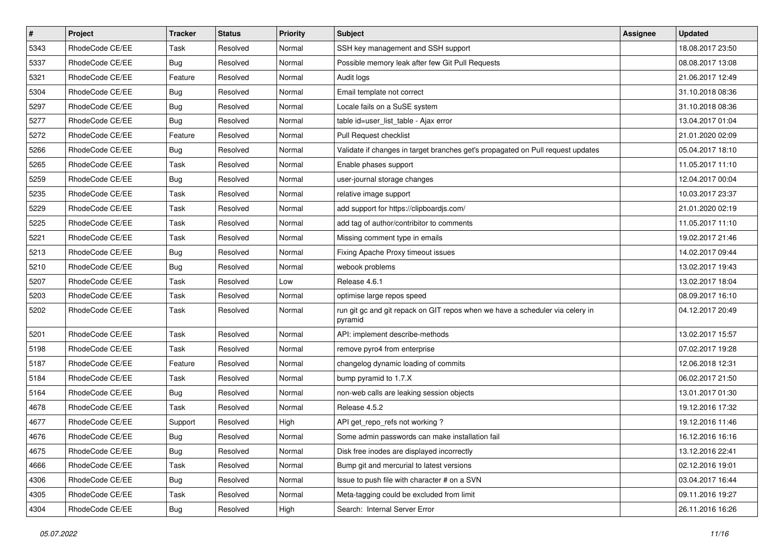| $\pmb{\#}$ | Project         | <b>Tracker</b> | <b>Status</b> | <b>Priority</b> | <b>Subject</b>                                                                           | <b>Assignee</b> | <b>Updated</b>   |
|------------|-----------------|----------------|---------------|-----------------|------------------------------------------------------------------------------------------|-----------------|------------------|
| 5343       | RhodeCode CE/EE | Task           | Resolved      | Normal          | SSH key management and SSH support                                                       |                 | 18.08.2017 23:50 |
| 5337       | RhodeCode CE/EE | Bug            | Resolved      | Normal          | Possible memory leak after few Git Pull Requests                                         |                 | 08.08.2017 13:08 |
| 5321       | RhodeCode CE/EE | Feature        | Resolved      | Normal          | Audit logs                                                                               |                 | 21.06.2017 12:49 |
| 5304       | RhodeCode CE/EE | <b>Bug</b>     | Resolved      | Normal          | Email template not correct                                                               |                 | 31.10.2018 08:36 |
| 5297       | RhodeCode CE/EE | Bug            | Resolved      | Normal          | Locale fails on a SuSE system                                                            |                 | 31.10.2018 08:36 |
| 5277       | RhodeCode CE/EE | <b>Bug</b>     | Resolved      | Normal          | table id=user_list_table - Ajax error                                                    |                 | 13.04.2017 01:04 |
| 5272       | RhodeCode CE/EE | Feature        | Resolved      | Normal          | Pull Request checklist                                                                   |                 | 21.01.2020 02:09 |
| 5266       | RhodeCode CE/EE | Bug            | Resolved      | Normal          | Validate if changes in target branches get's propagated on Pull request updates          |                 | 05.04.2017 18:10 |
| 5265       | RhodeCode CE/EE | Task           | Resolved      | Normal          | Enable phases support                                                                    |                 | 11.05.2017 11:10 |
| 5259       | RhodeCode CE/EE | Bug            | Resolved      | Normal          | user-journal storage changes                                                             |                 | 12.04.2017 00:04 |
| 5235       | RhodeCode CE/EE | Task           | Resolved      | Normal          | relative image support                                                                   |                 | 10.03.2017 23:37 |
| 5229       | RhodeCode CE/EE | Task           | Resolved      | Normal          | add support for https://clipboardjs.com/                                                 |                 | 21.01.2020 02:19 |
| 5225       | RhodeCode CE/EE | Task           | Resolved      | Normal          | add tag of author/contribitor to comments                                                |                 | 11.05.2017 11:10 |
| 5221       | RhodeCode CE/EE | Task           | Resolved      | Normal          | Missing comment type in emails                                                           |                 | 19.02.2017 21:46 |
| 5213       | RhodeCode CE/EE | <b>Bug</b>     | Resolved      | Normal          | Fixing Apache Proxy timeout issues                                                       |                 | 14.02.2017 09:44 |
| 5210       | RhodeCode CE/EE | Bug            | Resolved      | Normal          | webook problems                                                                          |                 | 13.02.2017 19:43 |
| 5207       | RhodeCode CE/EE | Task           | Resolved      | Low             | Release 4.6.1                                                                            |                 | 13.02.2017 18:04 |
| 5203       | RhodeCode CE/EE | Task           | Resolved      | Normal          | optimise large repos speed                                                               |                 | 08.09.2017 16:10 |
| 5202       | RhodeCode CE/EE | Task           | Resolved      | Normal          | run git gc and git repack on GIT repos when we have a scheduler via celery in<br>pyramid |                 | 04.12.2017 20:49 |
| 5201       | RhodeCode CE/EE | Task           | Resolved      | Normal          | API: implement describe-methods                                                          |                 | 13.02.2017 15:57 |
| 5198       | RhodeCode CE/EE | Task           | Resolved      | Normal          | remove pyro4 from enterprise                                                             |                 | 07.02.2017 19:28 |
| 5187       | RhodeCode CE/EE | Feature        | Resolved      | Normal          | changelog dynamic loading of commits                                                     |                 | 12.06.2018 12:31 |
| 5184       | RhodeCode CE/EE | Task           | Resolved      | Normal          | bump pyramid to 1.7.X                                                                    |                 | 06.02.2017 21:50 |
| 5164       | RhodeCode CE/EE | <b>Bug</b>     | Resolved      | Normal          | non-web calls are leaking session objects                                                |                 | 13.01.2017 01:30 |
| 4678       | RhodeCode CE/EE | Task           | Resolved      | Normal          | Release 4.5.2                                                                            |                 | 19.12.2016 17:32 |
| 4677       | RhodeCode CE/EE | Support        | Resolved      | High            | API get repo refs not working?                                                           |                 | 19.12.2016 11:46 |
| 4676       | RhodeCode CE/EE | <b>Bug</b>     | Resolved      | Normal          | Some admin passwords can make installation fail                                          |                 | 16.12.2016 16:16 |
| 4675       | RhodeCode CE/EE | <b>Bug</b>     | Resolved      | Normal          | Disk free inodes are displayed incorrectly                                               |                 | 13.12.2016 22:41 |
| 4666       | RhodeCode CE/EE | Task           | Resolved      | Normal          | Bump git and mercurial to latest versions                                                |                 | 02.12.2016 19:01 |
| 4306       | RhodeCode CE/EE | <b>Bug</b>     | Resolved      | Normal          | Issue to push file with character # on a SVN                                             |                 | 03.04.2017 16:44 |
| 4305       | RhodeCode CE/EE | Task           | Resolved      | Normal          | Meta-tagging could be excluded from limit                                                |                 | 09.11.2016 19:27 |
| 4304       | RhodeCode CE/EE | Bug            | Resolved      | High            | Search: Internal Server Error                                                            |                 | 26.11.2016 16:26 |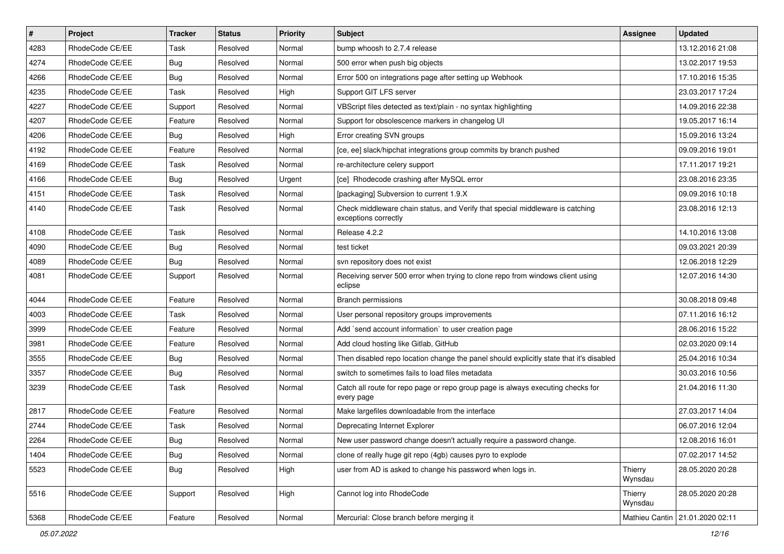| $\sharp$ | Project         | <b>Tracker</b> | <b>Status</b> | Priority | <b>Subject</b>                                                                                        | <b>Assignee</b>    | <b>Updated</b>                  |
|----------|-----------------|----------------|---------------|----------|-------------------------------------------------------------------------------------------------------|--------------------|---------------------------------|
| 4283     | RhodeCode CE/EE | Task           | Resolved      | Normal   | bump whoosh to 2.7.4 release                                                                          |                    | 13.12.2016 21:08                |
| 4274     | RhodeCode CE/EE | Bug            | Resolved      | Normal   | 500 error when push big objects                                                                       |                    | 13.02.2017 19:53                |
| 4266     | RhodeCode CE/EE | Bug            | Resolved      | Normal   | Error 500 on integrations page after setting up Webhook                                               |                    | 17.10.2016 15:35                |
| 4235     | RhodeCode CE/EE | Task           | Resolved      | High     | Support GIT LFS server                                                                                |                    | 23.03.2017 17:24                |
| 4227     | RhodeCode CE/EE | Support        | Resolved      | Normal   | VBScript files detected as text/plain - no syntax highlighting                                        |                    | 14.09.2016 22:38                |
| 4207     | RhodeCode CE/EE | Feature        | Resolved      | Normal   | Support for obsolescence markers in changelog UI                                                      |                    | 19.05.2017 16:14                |
| 4206     | RhodeCode CE/EE | Bug            | Resolved      | High     | Error creating SVN groups                                                                             |                    | 15.09.2016 13:24                |
| 4192     | RhodeCode CE/EE | Feature        | Resolved      | Normal   | [ce, ee] slack/hipchat integrations group commits by branch pushed                                    |                    | 09.09.2016 19:01                |
| 4169     | RhodeCode CE/EE | Task           | Resolved      | Normal   | re-architecture celery support                                                                        |                    | 17.11.2017 19:21                |
| 4166     | RhodeCode CE/EE | Bug            | Resolved      | Urgent   | [ce] Rhodecode crashing after MySQL error                                                             |                    | 23.08.2016 23:35                |
| 4151     | RhodeCode CE/EE | Task           | Resolved      | Normal   | [packaging] Subversion to current 1.9.X                                                               |                    | 09.09.2016 10:18                |
| 4140     | RhodeCode CE/EE | Task           | Resolved      | Normal   | Check middleware chain status, and Verify that special middleware is catching<br>exceptions correctly |                    | 23.08.2016 12:13                |
| 4108     | RhodeCode CE/EE | Task           | Resolved      | Normal   | Release 4.2.2                                                                                         |                    | 14.10.2016 13:08                |
| 4090     | RhodeCode CE/EE | Bug            | Resolved      | Normal   | test ticket                                                                                           |                    | 09.03.2021 20:39                |
| 4089     | RhodeCode CE/EE | Bug            | Resolved      | Normal   | svn repository does not exist                                                                         |                    | 12.06.2018 12:29                |
| 4081     | RhodeCode CE/EE | Support        | Resolved      | Normal   | Receiving server 500 error when trying to clone repo from windows client using<br>eclipse             |                    | 12.07.2016 14:30                |
| 4044     | RhodeCode CE/EE | Feature        | Resolved      | Normal   | Branch permissions                                                                                    |                    | 30.08.2018 09:48                |
| 4003     | RhodeCode CE/EE | Task           | Resolved      | Normal   | User personal repository groups improvements                                                          |                    | 07.11.2016 16:12                |
| 3999     | RhodeCode CE/EE | Feature        | Resolved      | Normal   | Add `send account information` to user creation page                                                  |                    | 28.06.2016 15:22                |
| 3981     | RhodeCode CE/EE | Feature        | Resolved      | Normal   | Add cloud hosting like Gitlab, GitHub                                                                 |                    | 02.03.2020 09:14                |
| 3555     | RhodeCode CE/EE | <b>Bug</b>     | Resolved      | Normal   | Then disabled repo location change the panel should explicitly state that it's disabled               |                    | 25.04.2016 10:34                |
| 3357     | RhodeCode CE/EE | Bug            | Resolved      | Normal   | switch to sometimes fails to load files metadata                                                      |                    | 30.03.2016 10:56                |
| 3239     | RhodeCode CE/EE | Task           | Resolved      | Normal   | Catch all route for repo page or repo group page is always executing checks for<br>every page         |                    | 21.04.2016 11:30                |
| 2817     | RhodeCode CE/EE | Feature        | Resolved      | Normal   | Make largefiles downloadable from the interface                                                       |                    | 27.03.2017 14:04                |
| 2744     | RhodeCode CE/EE | Task           | Resolved      | Normal   | Deprecating Internet Explorer                                                                         |                    | 06.07.2016 12:04                |
| 2264     | RhodeCode CE/EE | Bug            | Resolved      | Normal   | New user password change doesn't actually require a password change.                                  |                    | 12.08.2016 16:01                |
| 1404     | RhodeCode CE/EE | Bug            | Resolved      | Normal   | clone of really huge git repo (4gb) causes pyro to explode                                            |                    | 07.02.2017 14:52                |
| 5523     | RhodeCode CE/EE | Bug            | Resolved      | High     | user from AD is asked to change his password when logs in.                                            | Thierry<br>Wynsdau | 28.05.2020 20:28                |
| 5516     | RhodeCode CE/EE | Support        | Resolved      | High     | Cannot log into RhodeCode                                                                             | Thierry<br>Wynsdau | 28.05.2020 20:28                |
| 5368     | RhodeCode CE/EE | Feature        | Resolved      | Normal   | Mercurial: Close branch before merging it                                                             |                    | Mathieu Cantin 21.01.2020 02:11 |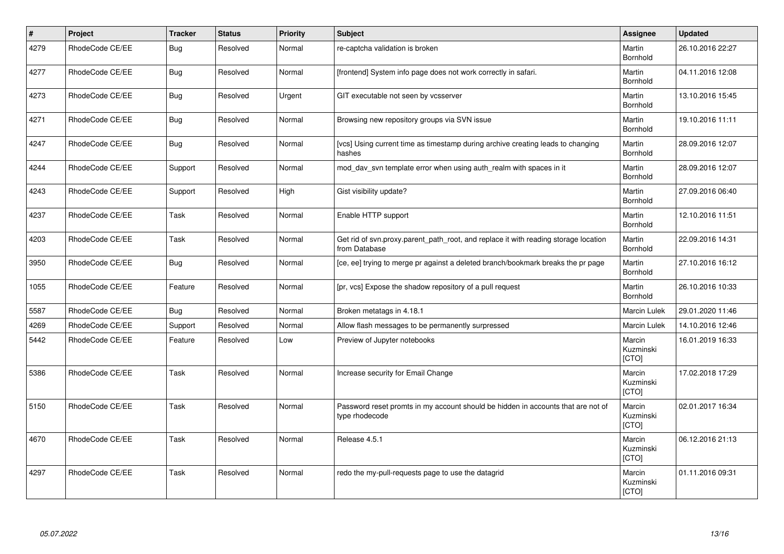| $\pmb{\#}$ | Project         | <b>Tracker</b> | <b>Status</b> | <b>Priority</b> | <b>Subject</b>                                                                                       | Assignee                     | <b>Updated</b>   |
|------------|-----------------|----------------|---------------|-----------------|------------------------------------------------------------------------------------------------------|------------------------------|------------------|
| 4279       | RhodeCode CE/EE | Bug            | Resolved      | Normal          | re-captcha validation is broken                                                                      | Martin<br>Bornhold           | 26.10.2016 22:27 |
| 4277       | RhodeCode CE/EE | <b>Bug</b>     | Resolved      | Normal          | [frontend] System info page does not work correctly in safari.                                       | Martin<br>Bornhold           | 04.11.2016 12:08 |
| 4273       | RhodeCode CE/EE | <b>Bug</b>     | Resolved      | Urgent          | GIT executable not seen by vcsserver                                                                 | Martin<br>Bornhold           | 13.10.2016 15:45 |
| 4271       | RhodeCode CE/EE | Bug            | Resolved      | Normal          | Browsing new repository groups via SVN issue                                                         | Martin<br>Bornhold           | 19.10.2016 11:11 |
| 4247       | RhodeCode CE/EE | Bug            | Resolved      | Normal          | [vcs] Using current time as timestamp during archive creating leads to changing<br>hashes            | Martin<br>Bornhold           | 28.09.2016 12:07 |
| 4244       | RhodeCode CE/EE | Support        | Resolved      | Normal          | mod day syn template error when using auth realm with spaces in it                                   | Martin<br>Bornhold           | 28.09.2016 12:07 |
| 4243       | RhodeCode CE/EE | Support        | Resolved      | High            | Gist visibility update?                                                                              | Martin<br>Bornhold           | 27.09.2016 06:40 |
| 4237       | RhodeCode CE/EE | Task           | Resolved      | Normal          | Enable HTTP support                                                                                  | Martin<br>Bornhold           | 12.10.2016 11:51 |
| 4203       | RhodeCode CE/EE | Task           | Resolved      | Normal          | Get rid of svn.proxy.parent path root, and replace it with reading storage location<br>from Database | Martin<br>Bornhold           | 22.09.2016 14:31 |
| 3950       | RhodeCode CE/EE | Bug            | Resolved      | Normal          | [ce, ee] trying to merge pr against a deleted branch/bookmark breaks the pr page                     | Martin<br>Bornhold           | 27.10.2016 16:12 |
| 1055       | RhodeCode CE/EE | Feature        | Resolved      | Normal          | [pr, vcs] Expose the shadow repository of a pull request                                             | Martin<br>Bornhold           | 26.10.2016 10:33 |
| 5587       | RhodeCode CE/EE | Bug            | Resolved      | Normal          | Broken metatags in 4.18.1                                                                            | <b>Marcin Lulek</b>          | 29.01.2020 11:46 |
| 4269       | RhodeCode CE/EE | Support        | Resolved      | Normal          | Allow flash messages to be permanently surpressed                                                    | Marcin Lulek                 | 14.10.2016 12:46 |
| 5442       | RhodeCode CE/EE | Feature        | Resolved      | Low             | Preview of Jupyter notebooks                                                                         | Marcin<br>Kuzminski<br>[CTO] | 16.01.2019 16:33 |
| 5386       | RhodeCode CE/EE | Task           | Resolved      | Normal          | Increase security for Email Change                                                                   | Marcin<br>Kuzminski<br>[CTO] | 17.02.2018 17:29 |
| 5150       | RhodeCode CE/EE | Task           | Resolved      | Normal          | Password reset promts in my account should be hidden in accounts that are not of<br>type rhodecode   | Marcin<br>Kuzminski<br>[CTO] | 02.01.2017 16:34 |
| 4670       | RhodeCode CE/EE | Task           | Resolved      | Normal          | Release 4.5.1                                                                                        | Marcin<br>Kuzminski<br>[CTO] | 06.12.2016 21:13 |
| 4297       | RhodeCode CE/EE | Task           | Resolved      | Normal          | redo the my-pull-requests page to use the datagrid                                                   | Marcin<br>Kuzminski<br>[CTO] | 01.11.2016 09:31 |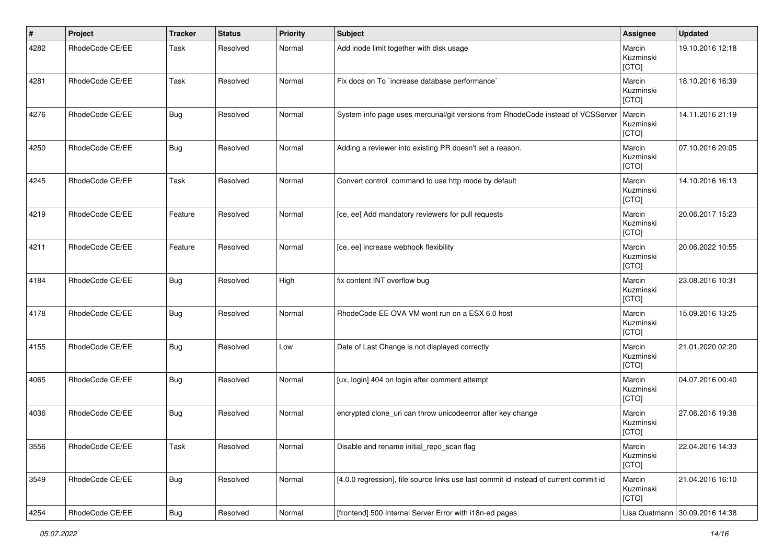| $\vert$ # | Project         | <b>Tracker</b> | <b>Status</b> | <b>Priority</b> | <b>Subject</b>                                                                        | Assignee                     | <b>Updated</b>   |
|-----------|-----------------|----------------|---------------|-----------------|---------------------------------------------------------------------------------------|------------------------------|------------------|
| 4282      | RhodeCode CE/EE | Task           | Resolved      | Normal          | Add inode limit together with disk usage                                              | Marcin<br>Kuzminski<br>[CTO] | 19.10.2016 12:18 |
| 4281      | RhodeCode CE/EE | Task           | Resolved      | Normal          | Fix docs on To `increase database performance`                                        | Marcin<br>Kuzminski<br>[CTO] | 18.10.2016 16:39 |
| 4276      | RhodeCode CE/EE | <b>Bug</b>     | Resolved      | Normal          | System info page uses mercurial/git versions from RhodeCode instead of VCSServer      | Marcin<br>Kuzminski<br>[CTO] | 14.11.2016 21:19 |
| 4250      | RhodeCode CE/EE | Bug            | Resolved      | Normal          | Adding a reviewer into existing PR doesn't set a reason.                              | Marcin<br>Kuzminski<br>[CTO] | 07.10.2016 20:05 |
| 4245      | RhodeCode CE/EE | Task           | Resolved      | Normal          | Convert control command to use http mode by default                                   | Marcin<br>Kuzminski<br>[CTO] | 14.10.2016 16:13 |
| 4219      | RhodeCode CE/EE | Feature        | Resolved      | Normal          | [ce, ee] Add mandatory reviewers for pull requests                                    | Marcin<br>Kuzminski<br>[CTO] | 20.06.2017 15:23 |
| 4211      | RhodeCode CE/EE | Feature        | Resolved      | Normal          | [ce, ee] increase webhook flexibility                                                 | Marcin<br>Kuzminski<br>[CTO] | 20.06.2022 10:55 |
| 4184      | RhodeCode CE/EE | <b>Bug</b>     | Resolved      | High            | fix content INT overflow bug                                                          | Marcin<br>Kuzminski<br>[CTO] | 23.08.2016 10:31 |
| 4178      | RhodeCode CE/EE | <b>Bug</b>     | Resolved      | Normal          | RhodeCode EE OVA VM wont run on a ESX 6.0 host                                        | Marcin<br>Kuzminski<br>[CTO] | 15.09.2016 13:25 |
| 4155      | RhodeCode CE/EE | <b>Bug</b>     | Resolved      | Low             | Date of Last Change is not displayed correctly                                        | Marcin<br>Kuzminski<br>[CTO] | 21.01.2020 02:20 |
| 4065      | RhodeCode CE/EE | <b>Bug</b>     | Resolved      | Normal          | [ux, login] 404 on login after comment attempt                                        | Marcin<br>Kuzminski<br>[CTO] | 04.07.2016 00:40 |
| 4036      | RhodeCode CE/EE | Bug            | Resolved      | Normal          | encrypted clone_uri can throw unicodeerror after key change                           | Marcin<br>Kuzminski<br>[CTO] | 27.06.2016 19:38 |
| 3556      | RhodeCode CE/EE | Task           | Resolved      | Normal          | Disable and rename initial_repo_scan flag                                             | Marcin<br>Kuzminski<br>[CTO] | 22.04.2016 14:33 |
| 3549      | RhodeCode CE/EE | Bug            | Resolved      | Normal          | [4.0.0 regression], file source links use last commit id instead of current commit id | Marcin<br>Kuzminski<br>[CTO] | 21.04.2016 16:10 |
| 4254      | RhodeCode CE/EE | <b>Bug</b>     | Resolved      | Normal          | [frontend] 500 Internal Server Error with i18n-ed pages                               | Lisa Quatmann                | 30.09.2016 14:38 |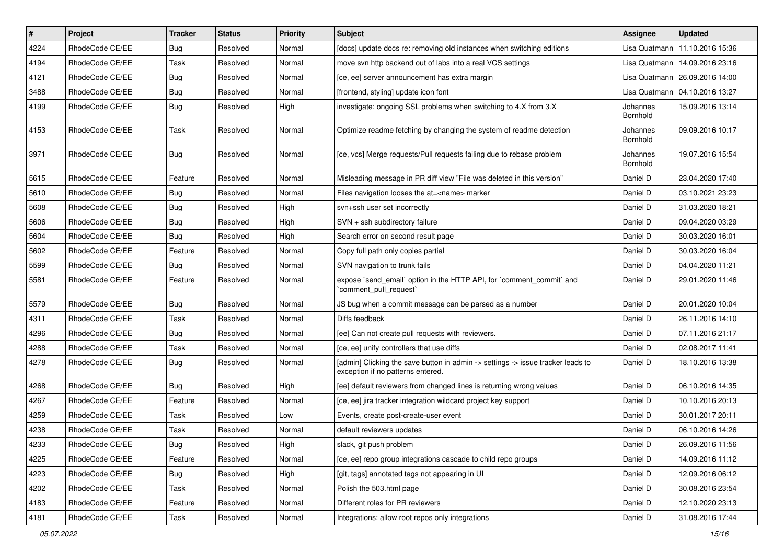| $\vert$ # | Project         | <b>Tracker</b> | <b>Status</b> | <b>Priority</b> | <b>Subject</b>                                                                                                       | Assignee             | <b>Updated</b>                   |
|-----------|-----------------|----------------|---------------|-----------------|----------------------------------------------------------------------------------------------------------------------|----------------------|----------------------------------|
| 4224      | RhodeCode CE/EE | <b>Bug</b>     | Resolved      | Normal          | [docs] update docs re: removing old instances when switching editions                                                | Lisa Quatmann        | 11.10.2016 15:36                 |
| 4194      | RhodeCode CE/EE | Task           | Resolved      | Normal          | move svn http backend out of labs into a real VCS settings                                                           | Lisa Quatmann        | 14.09.2016 23:16                 |
| 4121      | RhodeCode CE/EE | Bug            | Resolved      | Normal          | [ce, ee] server announcement has extra margin                                                                        |                      | Lisa Quatmann   26.09.2016 14:00 |
| 3488      | RhodeCode CE/EE | <b>Bug</b>     | Resolved      | Normal          | [frontend, styling] update icon font                                                                                 |                      | Lisa Quatmann   04.10.2016 13:27 |
| 4199      | RhodeCode CE/EE | <b>Bug</b>     | Resolved      | High            | investigate: ongoing SSL problems when switching to 4.X from 3.X                                                     | Johannes<br>Bornhold | 15.09.2016 13:14                 |
| 4153      | RhodeCode CE/EE | Task           | Resolved      | Normal          | Optimize readme fetching by changing the system of readme detection                                                  | Johannes<br>Bornhold | 09.09.2016 10:17                 |
| 3971      | RhodeCode CE/EE | Bug            | Resolved      | Normal          | [ce, vcs] Merge requests/Pull requests failing due to rebase problem                                                 | Johannes<br>Bornhold | 19.07.2016 15:54                 |
| 5615      | RhodeCode CE/EE | Feature        | Resolved      | Normal          | Misleading message in PR diff view "File was deleted in this version"                                                | Daniel D             | 23.04.2020 17:40                 |
| 5610      | RhodeCode CE/EE | <b>Bug</b>     | Resolved      | Normal          | Files navigation looses the at= <name> marker</name>                                                                 | Daniel D             | 03.10.2021 23:23                 |
| 5608      | RhodeCode CE/EE | <b>Bug</b>     | Resolved      | High            | svn+ssh user set incorrectly                                                                                         | Daniel D             | 31.03.2020 18:21                 |
| 5606      | RhodeCode CE/EE | Bug            | Resolved      | High            | SVN + ssh subdirectory failure                                                                                       | Daniel D             | 09.04.2020 03:29                 |
| 5604      | RhodeCode CE/EE | <b>Bug</b>     | Resolved      | High            | Search error on second result page                                                                                   | Daniel D             | 30.03.2020 16:01                 |
| 5602      | RhodeCode CE/EE | Feature        | Resolved      | Normal          | Copy full path only copies partial                                                                                   | Daniel D             | 30.03.2020 16:04                 |
| 5599      | RhodeCode CE/EE | Bug            | Resolved      | Normal          | SVN navigation to trunk fails                                                                                        | Daniel D             | 04.04.2020 11:21                 |
| 5581      | RhodeCode CE/EE | Feature        | Resolved      | Normal          | expose `send_email` option in the HTTP API, for `comment_commit` and<br>`comment_pull_request`                       | Daniel D             | 29.01.2020 11:46                 |
| 5579      | RhodeCode CE/EE | <b>Bug</b>     | Resolved      | Normal          | JS bug when a commit message can be parsed as a number                                                               | Daniel D             | 20.01.2020 10:04                 |
| 4311      | RhodeCode CE/EE | Task           | Resolved      | Normal          | Diffs feedback                                                                                                       | Daniel D             | 26.11.2016 14:10                 |
| 4296      | RhodeCode CE/EE | Bug            | Resolved      | Normal          | [ee] Can not create pull requests with reviewers.                                                                    | Daniel D             | 07.11.2016 21:17                 |
| 4288      | RhodeCode CE/EE | Task           | Resolved      | Normal          | [ce, ee] unify controllers that use diffs                                                                            | Daniel D             | 02.08.2017 11:41                 |
| 4278      | RhodeCode CE/EE | <b>Bug</b>     | Resolved      | Normal          | [admin] Clicking the save button in admin -> settings -> issue tracker leads to<br>exception if no patterns entered. | Daniel D             | 18.10.2016 13:38                 |
| 4268      | RhodeCode CE/EE | Bug            | Resolved      | High            | [ee] default reviewers from changed lines is returning wrong values                                                  | Daniel D             | 06.10.2016 14:35                 |
| 4267      | RhodeCode CE/EE | Feature        | Resolved      | Normal          | [ce, ee] jira tracker integration wildcard project key support                                                       | Daniel D             | 10.10.2016 20:13                 |
| 4259      | RhodeCode CE/EE | Task           | Resolved      | Low             | Events, create post-create-user event                                                                                | Daniel D             | 30.01.2017 20:11                 |
| 4238      | RhodeCode CE/EE | Task           | Resolved      | Normal          | default reviewers updates                                                                                            | Daniel D             | 06.10.2016 14:26                 |
| 4233      | RhodeCode CE/EE | Bug            | Resolved      | High            | slack, git push problem                                                                                              | Daniel D             | 26.09.2016 11:56                 |
| 4225      | RhodeCode CE/EE | Feature        | Resolved      | Normal          | [ce, ee] repo group integrations cascade to child repo groups                                                        | Daniel D             | 14.09.2016 11:12                 |
| 4223      | RhodeCode CE/EE | Bug            | Resolved      | High            | [git, tags] annotated tags not appearing in UI                                                                       | Daniel D             | 12.09.2016 06:12                 |
| 4202      | RhodeCode CE/EE | Task           | Resolved      | Normal          | Polish the 503.html page                                                                                             | Daniel D             | 30.08.2016 23:54                 |
| 4183      | RhodeCode CE/EE | Feature        | Resolved      | Normal          | Different roles for PR reviewers                                                                                     | Daniel D             | 12.10.2020 23:13                 |
| 4181      | RhodeCode CE/EE | Task           | Resolved      | Normal          | Integrations: allow root repos only integrations                                                                     | Daniel D             | 31.08.2016 17:44                 |